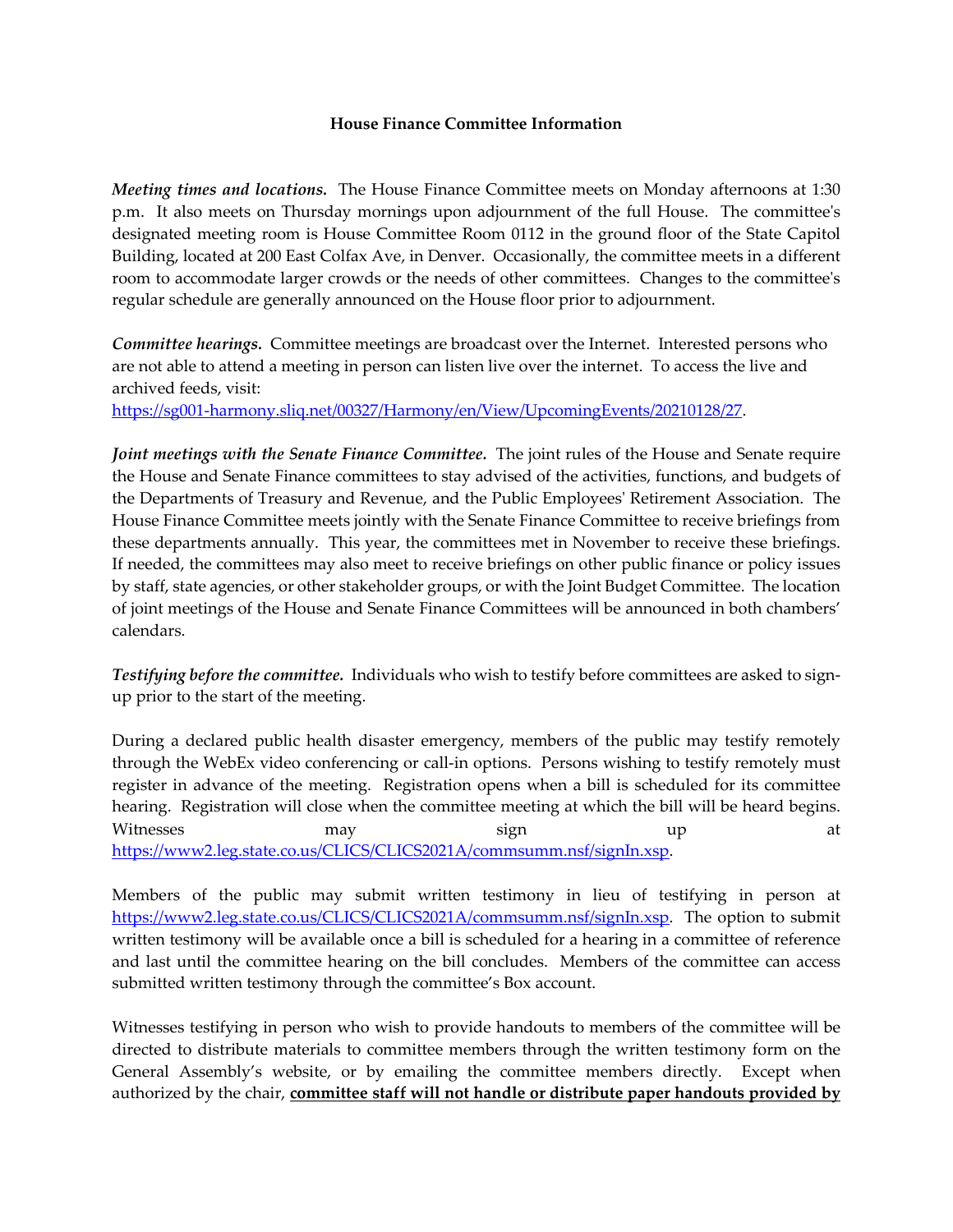## **House Finance Committee Information**

*Meeting times and locations.* The House Finance Committee meets on Monday afternoons at 1:30 p.m. It also meets on Thursday mornings upon adjournment of the full House. The committee's designated meeting room is House Committee Room 0112 in the ground floor of the State Capitol Building, located at 200 East Colfax Ave, in Denver. Occasionally, the committee meets in a different room to accommodate larger crowds or the needs of other committees. Changes to the committee's regular schedule are generally announced on the House floor prior to adjournment.

*Committee hearings.* Committee meetings are broadcast over the Internet. Interested persons who are not able to attend a meeting in person can listen live over the internet. To access the live and archived feeds, visit:

[https://sg001-harmony.sliq.net/00327/Harmony/en/View/UpcomingEvents/20210128/27.](https://sg001-harmony.sliq.net/00327/Harmony/en/View/UpcomingEvents/20210128/27)

*Joint meetings with the Senate Finance Committee.* The joint rules of the House and Senate require the House and Senate Finance committees to stay advised of the activities, functions, and budgets of the Departments of Treasury and Revenue, and the Public Employees' Retirement Association. The House Finance Committee meets jointly with the Senate Finance Committee to receive briefings from these departments annually. This year, the committees met in November to receive these briefings. If needed, the committees may also meet to receive briefings on other public finance or policy issues by staff, state agencies, or other stakeholder groups, or with the Joint Budget Committee. The location of joint meetings of the House and Senate Finance Committees will be announced in both chambers' calendars.

*Testifying before the committee.* Individuals who wish to testify before committees are asked to signup prior to the start of the meeting.

During a declared public health disaster emergency, members of the public may testify remotely through the WebEx video conferencing or call-in options. Persons wishing to testify remotely must register in advance of the meeting. Registration opens when a bill is scheduled for its committee hearing. Registration will close when the committee meeting at which the bill will be heard begins. Witnesses may sign up at [https://www2.leg.state.co.us/CLICS/CLICS2021A/commsumm.nsf/signIn.xsp.](https://www2.leg.state.co.us/CLICS/CLICS2021A/commsumm.nsf/signIn.xsp)

Members of the public may submit written testimony in lieu of testifying in person at [https://www2.leg.state.co.us/CLICS/CLICS2021A/commsumm.nsf/signIn.xsp.](https://www2.leg.state.co.us/CLICS/CLICS2021A/commsumm.nsf/signIn.xsp) The option to submit written testimony will be available once a bill is scheduled for a hearing in a committee of reference and last until the committee hearing on the bill concludes. Members of the committee can access submitted written testimony through the committee's Box account.

Witnesses testifying in person who wish to provide handouts to members of the committee will be directed to distribute materials to committee members through the written testimony form on the General Assembly's website, or by emailing the committee members directly. Except when authorized by the chair, **committee staff will not handle or distribute paper handouts provided by**